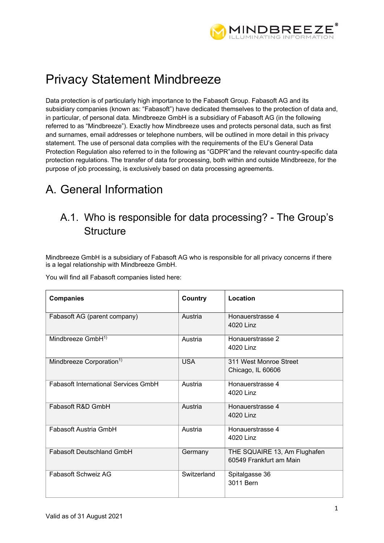

# Privacy Statement Mindbreeze

Data protection is of particularly high importance to the Fabasoft Group. Fabasoft AG and its subsidiary companies (known as: "Fabasoft") have dedicated themselves to the protection of data and, in particular, of personal data. Mindbreeze GmbH is a subsidiary of Fabasoft AG (in the following referred to as "Mindbreeze"). Exactly how Mindbreeze uses and protects personal data, such as first and surnames, email addresses or telephone numbers, will be outlined in more detail in this privacy statement. The use of personal data complies with the requirements of the EU's General Data Protection Regulation also referred to in the following as "GDPR"and the relevant country-specific data protection regulations. The transfer of data for processing, both within and outside Mindbreeze, for the purpose of job processing, is exclusively based on data processing agreements.

# A. General Information

# A.1. Who is responsible for data processing? - The Group's **Structure**

Mindbreeze GmbH is a subsidiary of Fabasoft AG who is responsible for all privacy concerns if there is a legal relationship with Mindbreeze GmbH.

You will find all Fabasoft companies listed here:

| <b>Companies</b>                            | Country     | Location                                                |
|---------------------------------------------|-------------|---------------------------------------------------------|
| Fabasoft AG (parent company)                | Austria     | Honauerstrasse 4<br>4020 Linz                           |
| Mindbreeze GmbH <sup>1)</sup>               | Austria     | Honauerstrasse 2<br>4020 Linz                           |
| Mindbreeze Corporation <sup>1)</sup>        | <b>USA</b>  | 311 West Monroe Street<br>Chicago, IL 60606             |
| <b>Fabasoft International Services GmbH</b> | Austria     | Honauerstrasse 4<br>4020 Linz                           |
| Fabasoft R&D GmbH                           | Austria     | Honauerstrasse 4<br>4020 Linz                           |
| Fabasoft Austria GmbH                       | Austria     | Honauerstrasse 4<br>4020 Linz                           |
| <b>Fabasoft Deutschland GmbH</b>            | Germany     | THE SQUAIRE 13, Am Flughafen<br>60549 Frankfurt am Main |
| Fabasoft Schweiz AG                         | Switzerland | Spitalgasse 36<br>3011 Bern                             |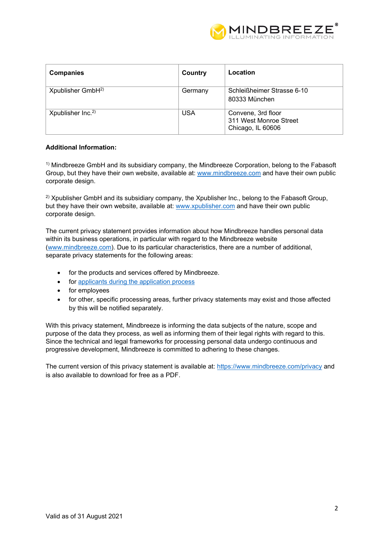

| <b>Companies</b>              | Country    | Location                                                          |
|-------------------------------|------------|-------------------------------------------------------------------|
| Xpublisher GmbH <sup>2)</sup> | Germany    | Schleißheimer Strasse 6-10<br>80333 München                       |
| Xpublisher $Inc2$             | <b>USA</b> | Convene, 3rd floor<br>311 West Monroe Street<br>Chicago, IL 60606 |

### **Additional Information:**

<sup>1)</sup> Mindbreeze GmbH and its subsidiary company, the Mindbreeze Corporation, belong to the Fabasoft Group, but they have their own website, available at: www.mindbreeze.com and have their own public corporate design.

<sup>2)</sup> Xpublisher GmbH and its subsidiary company, the Xpublisher Inc., belong to the Fabasoft Group, but they have their own website, available at: www.xpublisher.com and have their own public corporate design.

The current privacy statement provides information about how Mindbreeze handles personal data within its business operations, in particular with regard to the Mindbreeze website (www.mindbreeze.com). Due to its particular characteristics, there are a number of additional, separate privacy statements for the following areas:

- for the products and services offered by Mindbreeze.
- for applicants during the application process
- for employees
- for other, specific processing areas, further privacy statements may exist and those affected by this will be notified separately.

With this privacy statement, Mindbreeze is informing the data subjects of the nature, scope and purpose of the data they process, as well as informing them of their legal rights with regard to this. Since the technical and legal frameworks for processing personal data undergo continuous and progressive development, Mindbreeze is committed to adhering to these changes.

The current version of this privacy statement is available at: https://www.mindbreeze.com/privacy and is also available to download for free as a PDF.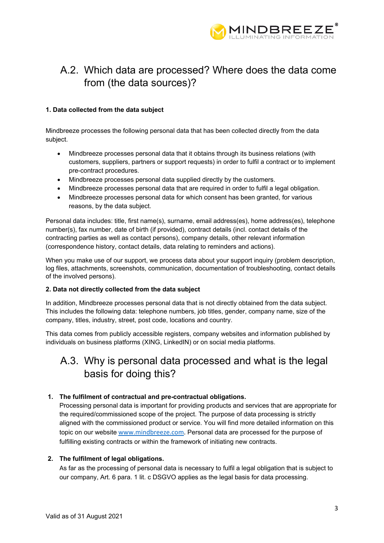

# A.2. Which data are processed? Where does the data come from (the data sources)?

### **1. Data collected from the data subject**

Mindbreeze processes the following personal data that has been collected directly from the data subject.

- Mindbreeze processes personal data that it obtains through its business relations (with customers, suppliers, partners or support requests) in order to fulfil a contract or to implement pre-contract procedures.
- Mindbreeze processes personal data supplied directly by the customers.
- Mindbreeze processes personal data that are required in order to fulfil a legal obligation.
- Mindbreeze processes personal data for which consent has been granted, for various reasons, by the data subject.

Personal data includes: title, first name(s), surname, email address(es), home address(es), telephone number(s), fax number, date of birth (if provided), contract details (incl. contact details of the contracting parties as well as contact persons), company details, other relevant information (correspondence history, contact details, data relating to reminders and actions).

When you make use of our support, we process data about your support inquiry (problem description, log files, attachments, screenshots, communication, documentation of troubleshooting, contact details of the involved persons).

### **2. Data not directly collected from the data subject**

In addition, Mindbreeze processes personal data that is not directly obtained from the data subject. This includes the following data: telephone numbers, job titles, gender, company name, size of the company, titles, industry, street, post code, locations and country.

This data comes from publicly accessible registers, company websites and information published by individuals on business platforms (XING, LinkedIN) or on social media platforms.

### A.3. Why is personal data processed and what is the legal basis for doing this?

### **1. The fulfilment of contractual and pre-contractual obligations.**

Processing personal data is important for providing products and services that are appropriate for the required/commissioned scope of the project. The purpose of data processing is strictly aligned with the commissioned product or service. You will find more detailed information on this topic on our website www.mindbreeze.com. Personal data are processed for the purpose of fulfilling existing contracts or within the framework of initiating new contracts.

### **2. The fulfilment of legal obligations.**

As far as the processing of personal data is necessary to fulfil a legal obligation that is subject to our company, Art. 6 para. 1 lit. c DSGVO applies as the legal basis for data processing.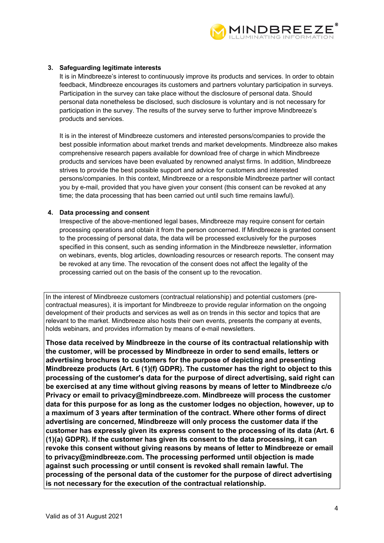

### **3. Safeguarding legitimate interests**

It is in Mindbreeze's interest to continuously improve its products and services. In order to obtain feedback, Mindbreeze encourages its customers and partners voluntary participation in surveys. Participation in the survey can take place without the disclosure of personal data. Should personal data nonetheless be disclosed, such disclosure is voluntary and is not necessary for participation in the survey. The results of the survey serve to further improve Mindbreeze's products and services.

It is in the interest of Mindbreeze customers and interested persons/companies to provide the best possible information about market trends and market developments. Mindbreeze also makes comprehensive research papers available for download free of charge in which Mindbreeze products and services have been evaluated by renowned analyst firms. In addition, Mindbreeze strives to provide the best possible support and advice for customers and interested persons/companies. In this context, Mindbreeze or a responsible Mindbreeze partner will contact you by e-mail, provided that you have given your consent (this consent can be revoked at any time; the data processing that has been carried out until such time remains lawful).

### **4. Data processing and consent**

Irrespective of the above-mentioned legal bases, Mindbreeze may require consent for certain processing operations and obtain it from the person concerned. If Mindbreeze is granted consent to the processing of personal data, the data will be processed exclusively for the purposes specified in this consent, such as sending information in the Mindbreeze newsletter, information on webinars, events, blog articles, downloading resources or research reports. The consent may be revoked at any time. The revocation of the consent does not affect the legality of the processing carried out on the basis of the consent up to the revocation.

In the interest of Mindbreeze customers (contractual relationship) and potential customers (precontractual measures), it is important for Mindbreeze to provide regular information on the ongoing development of their products and services as well as on trends in this sector and topics that are relevant to the market. Mindbreeze also hosts their own events, presents the company at events, holds webinars, and provides information by means of e-mail newsletters.

**Those data received by Mindbreeze in the course of its contractual relationship with the customer, will be processed by Mindbreeze in order to send emails, letters or advertising brochures to customers for the purpose of depicting and presenting Mindbreeze products (Art. 6 (1)(f) GDPR). The customer has the right to object to this processing of the customer's data for the purpose of direct advertising, said right can be exercised at any time without giving reasons by means of letter to Mindbreeze c/o Privacy or email to privacy@mindbreeze.com. Mindbreeze will process the customer data for this purpose for as long as the customer lodges no objection, however, up to a maximum of 3 years after termination of the contract. Where other forms of direct advertising are concerned, Mindbreeze will only process the customer data if the customer has expressly given its express consent to the processing of its data (Art. 6 (1)(a) GDPR). If the customer has given its consent to the data processing, it can revoke this consent without giving reasons by means of letter to Mindbreeze or email to privacy@mindbreeze.com. The processing performed until objection is made against such processing or until consent is revoked shall remain lawful. The processing of the personal data of the customer for the purpose of direct advertising is not necessary for the execution of the contractual relationship.**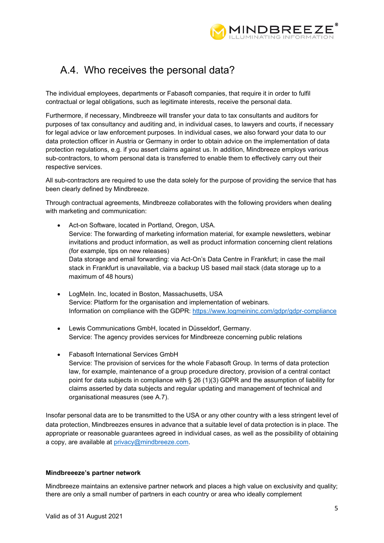

# A.4. Who receives the personal data?

The individual employees, departments or Fabasoft companies, that require it in order to fulfil contractual or legal obligations, such as legitimate interests, receive the personal data.

Furthermore, if necessary, Mindbreeze will transfer your data to tax consultants and auditors for purposes of tax consultancy and auditing and, in individual cases, to lawyers and courts, if necessary for legal advice or law enforcement purposes. In individual cases, we also forward your data to our data protection officer in Austria or Germany in order to obtain advice on the implementation of data protection regulations, e.g. if you assert claims against us. In addition, Mindbreeze employs various sub-contractors, to whom personal data is transferred to enable them to effectively carry out their respective services.

All sub-contractors are required to use the data solely for the purpose of providing the service that has been clearly defined by Mindbreeze.

Through contractual agreements, Mindbreeze collaborates with the following providers when dealing with marketing and communication:

- Act-on Software, located in Portland, Oregon, USA. Service: The forwarding of marketing information material, for example newsletters, webinar invitations and product information, as well as product information concerning client relations (for example, tips on new releases) Data storage and email forwarding: via Act-On's Data Centre in Frankfurt; in case the mail stack in Frankfurt is unavailable, via a backup US based mail stack (data storage up to a maximum of 48 hours)
- LogMeIn. Inc, located in Boston, Massachusetts, USA Service: Platform for the organisation and implementation of webinars. Information on compliance with the GDPR: https://www.logmeininc.com/gdpr/gdpr-compliance
- Lewis Communications GmbH, located in Düsseldorf, Germany. Service: The agency provides services for Mindbreeze concerning public relations
- Fabasoft International Services GmbH Service: The provision of services for the whole Fabasoft Group. In terms of data protection law, for example, maintenance of a group procedure directory, provision of a central contact point for data subjects in compliance with § 26 (1)(3) GDPR and the assumption of liability for claims asserted by data subjects and regular updating and management of technical and organisational measures (see A.7).

Insofar personal data are to be transmitted to the USA or any other country with a less stringent level of data protection, Mindbreezes ensures in advance that a suitable level of data protection is in place. The appropriate or reasonable guarantees agreed in individual cases, as well as the possibility of obtaining a copy, are available at privacy@mindbreeze.com.

### **Mindbreeeze's partner network**

Mindbreeze maintains an extensive partner network and places a high value on exclusivity and quality; there are only a small number of partners in each country or area who ideally complement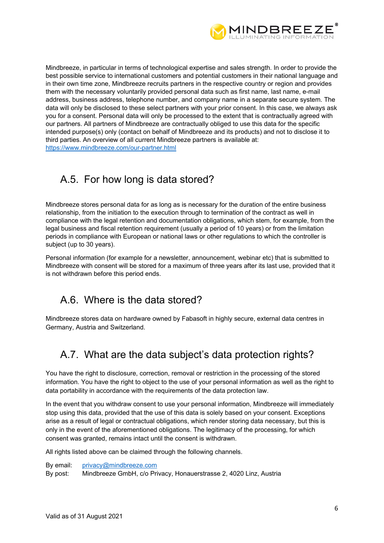

Mindbreeze, in particular in terms of technological expertise and sales strength. In order to provide the best possible service to international customers and potential customers in their national language and in their own time zone, Mindbreeze recruits partners in the respective country or region and provides them with the necessary voluntarily provided personal data such as first name, last name, e-mail address, business address, telephone number, and company name in a separate secure system. The data will only be disclosed to these select partners with your prior consent. In this case, we always ask you for a consent. Personal data will only be processed to the extent that is contractually agreed with our partners. All partners of Mindbreeze are contractually obliged to use this data for the specific intended purpose(s) only (contact on behalf of Mindbreeze and its products) and not to disclose it to third parties. An overview of all current Mindbreeze partners is available at: https://www.mindbreeze.com/our-partner.html

# A.5. For how long is data stored?

Mindbreeze stores personal data for as long as is necessary for the duration of the entire business relationship, from the initiation to the execution through to termination of the contract as well in compliance with the legal retention and documentation obligations, which stem, for example, from the legal business and fiscal retention requirement (usually a period of 10 years) or from the limitation periods in compliance with European or national laws or other regulations to which the controller is subject (up to 30 years).

Personal information (for example for a newsletter, announcement, webinar etc) that is submitted to Mindbreeze with consent will be stored for a maximum of three years after its last use, provided that it is not withdrawn before this period ends.

## A.6. Where is the data stored?

Mindbreeze stores data on hardware owned by Fabasoft in highly secure, external data centres in Germany, Austria and Switzerland.

## A.7. What are the data subject's data protection rights?

You have the right to disclosure, correction, removal or restriction in the processing of the stored information. You have the right to object to the use of your personal information as well as the right to data portability in accordance with the requirements of the data protection law.

In the event that you withdraw consent to use your personal information, Mindbreeze will immediately stop using this data, provided that the use of this data is solely based on your consent. Exceptions arise as a result of legal or contractual obligations, which render storing data necessary, but this is only in the event of the aforementioned obligations. The legitimacy of the processing, for which consent was granted, remains intact until the consent is withdrawn.

All rights listed above can be claimed through the following channels.

By email: privacy@mindbreeze.com

By post: Mindbreeze GmbH, c/o Privacy, Honauerstrasse 2, 4020 Linz, Austria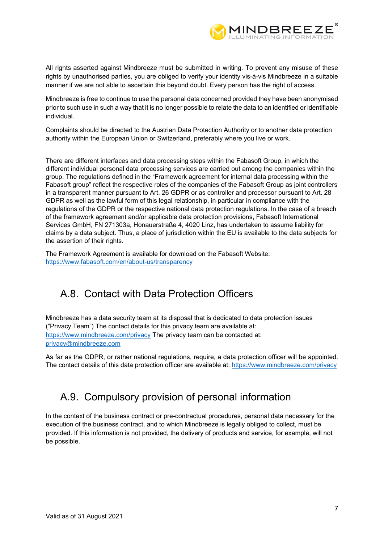

All rights asserted against Mindbreeze must be submitted in writing. To prevent any misuse of these rights by unauthorised parties, you are obliged to verify your identity vis-à-vis Mindbreeze in a suitable manner if we are not able to ascertain this beyond doubt. Every person has the right of access.

Mindbreeze is free to continue to use the personal data concerned provided they have been anonymised prior to such use in such a way that it is no longer possible to relate the data to an identified or identifiable individual.

Complaints should be directed to the Austrian Data Protection Authority or to another data protection authority within the European Union or Switzerland, preferably where you live or work.

There are different interfaces and data processing steps within the Fabasoft Group, in which the different individual personal data processing services are carried out among the companies within the group. The regulations defined in the "Framework agreement for internal data processing within the Fabasoft group" reflect the respective roles of the companies of the Fabasoft Group as joint controllers in a transparent manner pursuant to Art. 26 GDPR or as controller and processor pursuant to Art. 28 GDPR as well as the lawful form of this legal relationship, in particular in compliance with the regulations of the GDPR or the respective national data protection regulations. In the case of a breach of the framework agreement and/or applicable data protection provisions, Fabasoft International Services GmbH, FN 271303a, Honauerstraße 4, 4020 Linz, has undertaken to assume liability for claims by a data subject. Thus, a place of jurisdiction within the EU is available to the data subjects for the assertion of their rights.

The Framework Agreement is available for download on the Fabasoft Website: https://www.fabasoft.com/en/about-us/transparency

# A.8. Contact with Data Protection Officers

Mindbreeze has a data security team at its disposal that is dedicated to data protection issues ("Privacy Team") The contact details for this privacy team are available at: https://www.mindbreeze.com/privacy The privacy team can be contacted at: privacy@mindbreeze.com

As far as the GDPR, or rather national regulations, require, a data protection officer will be appointed. The contact details of this data protection officer are available at: https://www.mindbreeze.com/privacy

# A.9. Compulsory provision of personal information

In the context of the business contract or pre-contractual procedures, personal data necessary for the execution of the business contract, and to which Mindbreeze is legally obliged to collect, must be provided. If this information is not provided, the delivery of products and service, for example, will not be possible.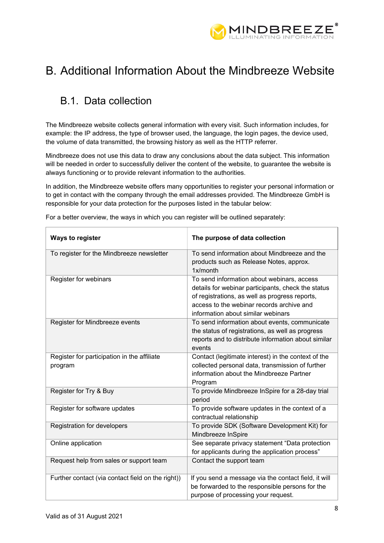

# B. Additional Information About the Mindbreeze Website

# B.1. Data collection

The Mindbreeze website collects general information with every visit. Such information includes, for example: the IP address, the type of browser used, the language, the login pages, the device used, the volume of data transmitted, the browsing history as well as the HTTP referrer.

Mindbreeze does not use this data to draw any conclusions about the data subject. This information will be needed in order to successfully deliver the content of the website, to guarantee the website is always functioning or to provide relevant information to the authorities.

In addition, the Mindbreeze website offers many opportunities to register your personal information or to get in contact with the company through the email addresses provided. The Mindbreeze GmbH is responsible for your data protection for the purposes listed in the tabular below:

| <b>Ways to register</b>                                | The purpose of data collection                                                                                                                                                                                                        |
|--------------------------------------------------------|---------------------------------------------------------------------------------------------------------------------------------------------------------------------------------------------------------------------------------------|
| To register for the Mindbreeze newsletter              | To send information about Mindbreeze and the<br>products such as Release Notes, approx.<br>1x/month                                                                                                                                   |
| Register for webinars                                  | To send information about webinars, access<br>details for webinar participants, check the status<br>of registrations, as well as progress reports,<br>access to the webinar records archive and<br>information about similar webinars |
| Register for Mindbreeze events                         | To send information about events, communicate<br>the status of registrations, as well as progress<br>reports and to distribute information about similar<br>events                                                                    |
| Register for participation in the affiliate<br>program | Contact (legitimate interest) in the context of the<br>collected personal data, transmission of further<br>information about the Mindbreeze Partner<br>Program                                                                        |
| Register for Try & Buy                                 | To provide Mindbreeze InSpire for a 28-day trial<br>period                                                                                                                                                                            |
| Register for software updates                          | To provide software updates in the context of a<br>contractual relationship                                                                                                                                                           |
| Registration for developers                            | To provide SDK (Software Development Kit) for<br>Mindbreeze InSpire                                                                                                                                                                   |
| Online application                                     | See separate privacy statement "Data protection<br>for applicants during the application process"                                                                                                                                     |
| Request help from sales or support team                | Contact the support team                                                                                                                                                                                                              |
| Further contact (via contact field on the right))      | If you send a message via the contact field, it will<br>be forwarded to the responsible persons for the<br>purpose of processing your request.                                                                                        |

For a better overview, the ways in which you can register will be outlined separately: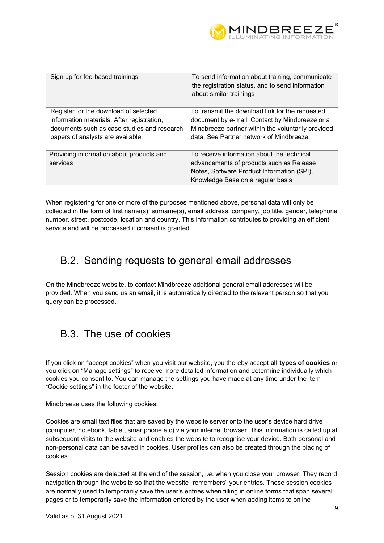

| Sign up for fee-based trainings             | To send information about training, communicate<br>the registration status, and to send information<br>about similar trainings |
|---------------------------------------------|--------------------------------------------------------------------------------------------------------------------------------|
| Register for the download of selected       | To transmit the download link for the requested                                                                                |
| information materials. After registration,  | document by e-mail. Contact by Mindbreeze or a                                                                                 |
| documents such as case studies and research | Mindbreeze partner within the voluntarily provided                                                                             |
| papers of analysts are available.           | data. See Partner network of Mindbreeze.                                                                                       |
|                                             |                                                                                                                                |
| Providing information about products and    | To receive information about the technical                                                                                     |
| services                                    | advancements of products such as Release                                                                                       |
|                                             | Notes, Software Product Information (SPI),                                                                                     |
|                                             | Knowledge Base on a regular basis                                                                                              |

When registering for one or more of the purposes mentioned above, personal data will only be collected in the form of first name(s), surname(s), email address, company, job title, gender, telephone number, street, postcode, location and country. This information contributes to providing an efficient service and will be processed if consent is granted.

## B.2. Sending requests to general email addresses

On the Mindbreeze website, to contact Mindbreeze additional general email addresses will be provided. When you send us an email, it is automatically directed to the relevant person so that you query can be processed.

## B.3. The use of cookies

If you click on "accept cookies" when you visit our website, you thereby accept **all types of cookies** or you click on "Manage settings" to receive more detailed information and determine individually which cookies you consent to. You can manage the settings you have made at any time under the item "Cookie settings" in the footer of the website.

Mindbreeze uses the following cookies:

Cookies are small text files that are saved by the website server onto the user's device hard drive (computer, notebook, tablet, smartphone etc) via your internet browser. This information is called up at subsequent visits to the website and enables the website to recognise your device. Both personal and non-personal data can be saved in cookies. User profiles can also be created through the placing of cookies.

Session cookies are delected at the end of the session, i.e. when you close your browser. They record navigation through the website so that the website "remembers" your entries. These session cookies are normally used to temporarily save the user's entries when filling in online forms that span several pages or to temporarily save the information entered by the user when adding items to online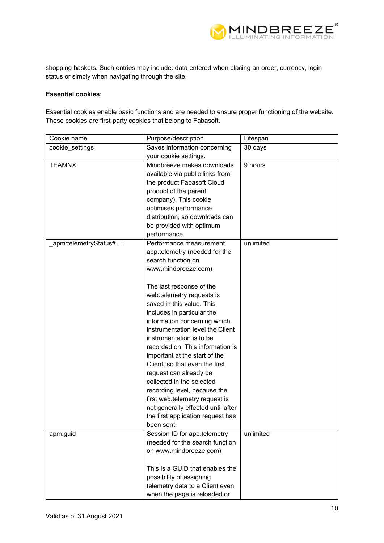

shopping baskets. Such entries may include: data entered when placing an order, currency, login status or simply when navigating through the site.

### **Essential cookies:**

Essential cookies enable basic functions and are needed to ensure proper functioning of the website. These cookies are first-party cookies that belong to Fabasoft.

| Cookie name            | Purpose/description                   | Lifespan  |
|------------------------|---------------------------------------|-----------|
| cookie_settings        | Saves information concerning          | 30 days   |
|                        | your cookie settings.                 |           |
| <b>TEAMNX</b>          | Mindbreeze makes downloads<br>9 hours |           |
|                        | available via public links from       |           |
|                        | the product Fabasoft Cloud            |           |
|                        | product of the parent                 |           |
|                        | company). This cookie                 |           |
|                        | optimises performance                 |           |
|                        | distribution, so downloads can        |           |
|                        | be provided with optimum              |           |
|                        | performance.                          |           |
| _apm:telemetryStatus#: | Performance measurement               | unlimited |
|                        | app.telemetry (needed for the         |           |
|                        | search function on                    |           |
|                        | www.mindbreeze.com)                   |           |
|                        |                                       |           |
|                        | The last response of the              |           |
|                        | web.telemetry requests is             |           |
|                        | saved in this value. This             |           |
|                        | includes in particular the            |           |
|                        | information concerning which          |           |
|                        | instrumentation level the Client      |           |
|                        | instrumentation is to be              |           |
|                        | recorded on. This information is      |           |
|                        | important at the start of the         |           |
|                        | Client, so that even the first        |           |
|                        | request can already be                |           |
|                        | collected in the selected             |           |
|                        | recording level, because the          |           |
|                        | first web.telemetry request is        |           |
|                        | not generally effected until after    |           |
|                        | the first application request has     |           |
|                        | been sent.                            |           |
| apm:guid               | Session ID for app.telemetry          | unlimited |
|                        | (needed for the search function       |           |
|                        | on www.mindbreeze.com)                |           |
|                        |                                       |           |
|                        | This is a GUID that enables the       |           |
|                        | possibility of assigning              |           |
|                        | telemetry data to a Client even       |           |
|                        | when the page is reloaded or          |           |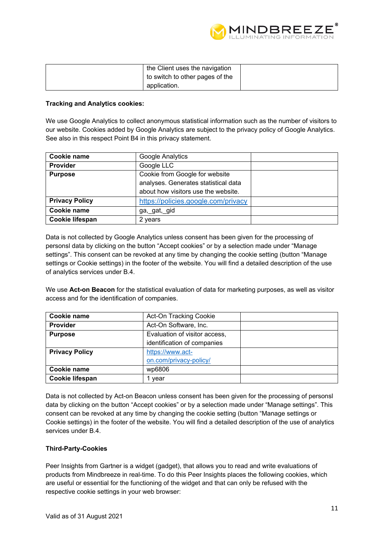

| the Client uses the navigation  |  |
|---------------------------------|--|
| to switch to other pages of the |  |
| application.                    |  |

### **Tracking and Analytics cookies:**

We use Google Analytics to collect anonymous statistical information such as the number of visitors to our website. Cookies added by Google Analytics are subject to the privacy policy of Google Analytics. See also in this respect Point B4 in this privacy statement.

| Cookie name           | Google Analytics                     |  |
|-----------------------|--------------------------------------|--|
| <b>Provider</b>       | Google LLC                           |  |
| <b>Purpose</b>        | Cookie from Google for website       |  |
|                       | analyses. Generates statistical data |  |
|                       | about how visitors use the website.  |  |
| <b>Privacy Policy</b> | https://policies.google.com/privacy  |  |
| Cookie name           | ga,_gat,_gid                         |  |
| Cookie lifespan       | 2 years                              |  |

Data is not collected by Google Analytics unless consent has been given for the processing of personsl data by clicking on the button "Accept cookies" or by a selection made under "Manage settings". This consent can be revoked at any time by changing the cookie setting (button "Manage settings or Cookie settings) in the footer of the website. You will find a detailed description of the use of analytics services under B.4.

We use **Act-on Beacon** for the statistical evaluation of data for marketing purposes, as well as visitor access and for the identification of companies.

| Cookie name           | Act-On Tracking Cookie        |  |
|-----------------------|-------------------------------|--|
| Provider              | Act-On Software, Inc.         |  |
| <b>Purpose</b>        | Evaluation of visitor access, |  |
|                       | identification of companies   |  |
| <b>Privacy Policy</b> | https://www.act-              |  |
|                       | on.com/privacy-policy/        |  |
| Cookie name           | wp6806                        |  |
| Cookie lifespan       | vear                          |  |

Data is not collected by Act-on Beacon unless consent has been given for the processing of personsl data by clicking on the button "Accept cookies" or by a selection made under "Manage settings". This consent can be revoked at any time by changing the cookie setting (button "Manage settings or Cookie settings) in the footer of the website. You will find a detailed description of the use of analytics services under B.4.

#### **Third-Party-Cookies**

Peer Insights from Gartner is a widget (gadget), that allows you to read and write evaluations of products from Mindbreeze in real-time. To do this Peer Insights places the following cookies, which are useful or essential for the functioning of the widget and that can only be refused with the respective cookie settings in your web browser: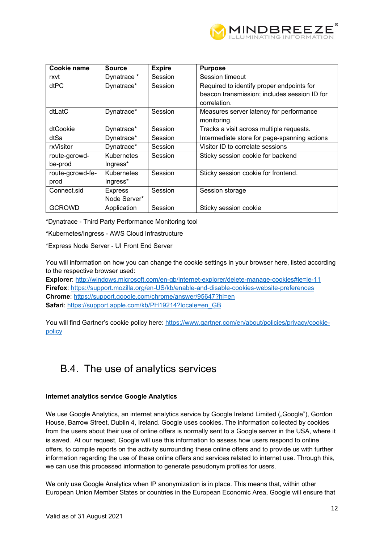

| Cookie name      | <b>Source</b>     | <b>Expire</b> | <b>Purpose</b>                               |
|------------------|-------------------|---------------|----------------------------------------------|
| rxvt             | Dynatrace *       | Session       | Session timeout                              |
| dtPC             | Dynatrace*        | Session       | Required to identify proper endpoints for    |
|                  |                   |               | beacon transmission; includes session ID for |
|                  |                   |               | correlation.                                 |
| dtLatC           | Dynatrace*        | Session       | Measures server latency for performance      |
|                  |                   |               | monitoring.                                  |
| dtCookie         | Dynatrace*        | Session       | Tracks a visit across multiple requests.     |
| dtSa             | Dynatrace*        | Session       | Intermediate store for page-spanning actions |
| rxVisitor        | Dynatrace*        | Session       | Visitor ID to correlate sessions             |
| route-gcrowd-    | Kubernetes        | Session       | Sticky session cookie for backend            |
| be-prod          | Ingress*          |               |                                              |
| route-gcrowd-fe- | <b>Kubernetes</b> | Session       | Sticky session cookie for frontend.          |
| prod             | Ingress*          |               |                                              |
| Connect.sid      | <b>Express</b>    | Session       | Session storage                              |
|                  | Node Server*      |               |                                              |
| <b>GCROWD</b>    | Application       | Session       | Sticky session cookie                        |

\*Dynatrace - Third Party Performance Monitoring tool

\*Kubernetes/Ingress - AWS Cloud Infrastructure

\*Express Node Server - UI Front End Server

You will information on how you can change the cookie settings in your browser here, listed according to the respective browser used:

**Explorer**: http://windows.microsoft.com/en-gb/internet-explorer/delete-manage-cookies#ie=ie-11 **Firefox**: https://support.mozilla.org/en-US/kb/enable-and-disable-cookies-website-preferences **Chrome**: https://support.google.com/chrome/answer/95647?hl=en **Safari:** https://support.apple.com/kb/PH19214?locale=en\_GB

You will find Gartner's cookie policy here: https://www.gartner.com/en/about/policies/privacy/cookiepolicy

## B.4. The use of analytics services

### **Internet analytics service Google Analytics**

We use Google Analytics, an internet analytics service by Google Ireland Limited ("Google"), Gordon House, Barrow Street, Dublin 4, Ireland. Google uses cookies. The information collected by cookies from the users about their use of online offers is normally sent to a Google server in the USA, where it is saved. At our request, Google will use this information to assess how users respond to online offers, to compile reports on the activity surrounding these online offers and to provide us with further information regarding the use of these online offers and services related to internet use. Through this, we can use this processed information to generate pseudonym profiles for users.

We only use Google Analytics when IP anonymization is in place. This means that, within other European Union Member States or countries in the European Economic Area, Google will ensure that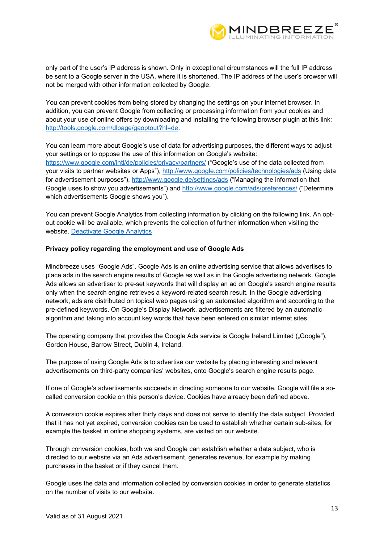

only part of the user's IP address is shown. Only in exceptional circumstances will the full IP address be sent to a Google server in the USA, where it is shortened. The IP address of the user's browser will not be merged with other information collected by Google.

You can prevent cookies from being stored by changing the settings on your internet browser. In addition, you can prevent Google from collecting or processing information from your cookies and about your use of online offers by downloading and installing the following browser plugin at this link: http://tools.google.com/dlpage/gaoptout?hl=de.

You can learn more about Google's use of data for advertising purposes, the different ways to adjust your settings or to oppose the use of this information on Google's website: https://www.google.com/intl/de/policies/privacy/partners/ ("Google's use of the data collected from your visits to partner websites or Apps"), http://www.google.com/policies/technologies/ads (Using data for advertisement purposes"), http://www.google.de/settings/ads ("Managing the information that Google uses to show you advertisements") and http://www.google.com/ads/preferences/ ("Determine which advertisements Google shows you").

You can prevent Google Analytics from collecting information by clicking on the following link. An optout cookie will be available, which prevents the collection of further information when visiting the website. Deactivate Google Analytics

#### **Privacy policy regarding the employment and use of Google Ads**

Mindbreeze uses "Google Ads". Google Ads is an online advertising service that allows advertises to place ads in the search engine results of Google as well as in the Google advertising network. Google Ads allows an advertiser to pre-set keywords that will display an ad on Google's search engine results only when the search engine retrieves a keyword-related search result. In the Google advertising network, ads are distributed on topical web pages using an automated algorithm and according to the pre-defined keywords. On Google's Display Network, advertisements are filtered by an automatic algorithm and taking into account key words that have been entered on similar internet sites.

The operating company that provides the Google Ads service is Google Ireland Limited ("Google"), Gordon House, Barrow Street, Dublin 4, Ireland.

The purpose of using Google Ads is to advertise our website by placing interesting and relevant advertisements on third-party companies' websites, onto Google's search engine results page.

If one of Google's advertisements succeeds in directing someone to our website, Google will file a socalled conversion cookie on this person's device. Cookies have already been defined above.

A conversion cookie expires after thirty days and does not serve to identify the data subject. Provided that it has not yet expired, conversion cookies can be used to establish whether certain sub-sites, for example the basket in online shopping systems, are visited on our website.

Through conversion cookies, both we and Google can establish whether a data subject, who is directed to our website via an Ads advertisement, generates revenue, for example by making purchases in the basket or if they cancel them.

Google uses the data and information collected by conversion cookies in order to generate statistics on the number of visits to our website.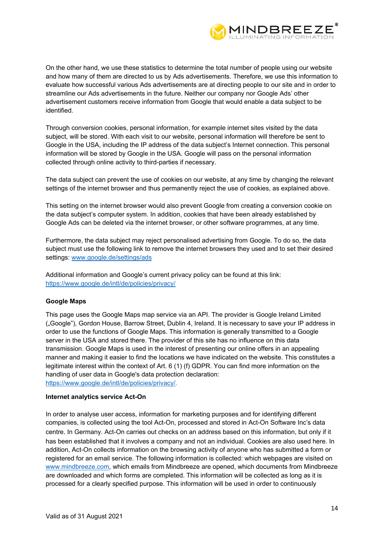

On the other hand, we use these statistics to determine the total number of people using our website and how many of them are directed to us by Ads advertisements. Therefore, we use this information to evaluate how successful various Ads advertisements are at directing people to our site and in order to streamline our Ads advertisements in the future. Neither our company nor Google Ads' other advertisement customers receive information from Google that would enable a data subject to be identified.

Through conversion cookies, personal information, for example internet sites visited by the data subject, will be stored. With each visit to our website, personal information will therefore be sent to Google in the USA, including the IP address of the data subject's Internet connection. This personal information will be stored by Google in the USA. Google will pass on the personal information collected through online activity to third-parties if necessary.

The data subject can prevent the use of cookies on our website, at any time by changing the relevant settings of the internet browser and thus permanently reject the use of cookies, as explained above.

This setting on the internet browser would also prevent Google from creating a conversion cookie on the data subject's computer system. In addition, cookies that have been already established by Google Ads can be deleted via the internet browser, or other software programmes, at any time.

Furthermore, the data subject may reject personalised advertising from Google. To do so, the data subject must use the following link to remove the internet browsers they used and to set their desired settings: www.google.de/settings/ads

Additional information and Google's current privacy policy can be found at this link: https://www.google.de/intl/de/policies/privacy/

### **Google Maps**

This page uses the Google Maps map service via an API. The provider is Google Ireland Limited ("Google"), Gordon House, Barrow Street, Dublin 4, Ireland. It is necessary to save your IP address in order to use the functions of Google Maps. This information is generally transmitted to a Google server in the USA and stored there. The provider of this site has no influence on this data transmission. Google Maps is used in the interest of presenting our online offers in an appealing manner and making it easier to find the locations we have indicated on the website. This constitutes a legitimate interest within the context of Art. 6 (1) (f) GDPR. You can find more information on the handling of user data in Google's data protection declaration: https://www.google.de/intl/de/policies/privacy/.

#### **Internet analytics service Act-On**

In order to analyse user access, information for marketing purposes and for identifying different companies, is collected using the tool Act-On, processed and stored in Act-On Software Inc's data centre. In Germany. Act-On carries out checks on an address based on this information, but only if it has been established that it involves a company and not an individual. Cookies are also used here. In addition, Act-On collects information on the browsing activity of anyone who has submitted a form or registered for an email service. The following information is collected: which webpages are visited on www.mindbreeze.com, which emails from Mindbreeze are opened, which documents from Mindbreeze are downloaded and which forms are completed. This information will be collected as long as it is processed for a clearly specified purpose. This information will be used in order to continuously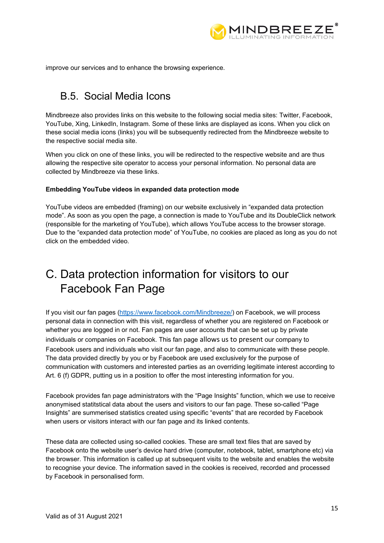

improve our services and to enhance the browsing experience.

## B.5. Social Media Icons

Mindbreeze also provides links on this website to the following social media sites: Twitter, Facebook, YouTube, Xing, LinkedIn, Instagram. Some of these links are displayed as icons. When you click on these social media icons (links) you will be subsequently redirected from the Mindbreeze website to the respective social media site.

When you click on one of these links, you will be redirected to the respective website and are thus allowing the respective site operator to access your personal information. No personal data are collected by Mindbreeze via these links.

### **Embedding YouTube videos in expanded data protection mode**

YouTube videos are embedded (framing) on our website exclusively in "expanded data protection mode". As soon as you open the page, a connection is made to YouTube and its DoubleClick network (responsible for the marketing of YouTube), which allows YouTube access to the browser storage. Due to the "expanded data protection mode" of YouTube, no cookies are placed as long as you do not click on the embedded video.

# C. Data protection information for visitors to our Facebook Fan Page

If you visit our fan pages (https://www.facebook.com/Mindbreeze/) on Facebook, we will process personal data in connection with this visit, regardless of whether you are registered on Facebook or whether you are logged in or not. Fan pages are user accounts that can be set up by private individuals or companies on Facebook. This fan page allows us to present our company to Facebook users and individuals who visit our fan page, and also to communicate with these people. The data provided directly by you or by Facebook are used exclusively for the purpose of communication with customers and interested parties as an overriding legitimate interest according to Art. 6 (f) GDPR, putting us in a position to offer the most interesting information for you.

Facebook provides fan page administrators with the "Page Insights" function, which we use to receive anonymised statitstical data about the users and visitors to our fan page. These so-called "Page Insights" are summerised statistics created using specific "events" that are recorded by Facebook when users or visitors interact with our fan page and its linked contents.

These data are collected using so-called cookies. These are small text files that are saved by Facebook onto the website user's device hard drive (computer, notebook, tablet, smartphone etc) via the browser. This information is called up at subsequent visits to the website and enables the website to recognise your device. The information saved in the cookies is received, recorded and processed by Facebook in personalised form.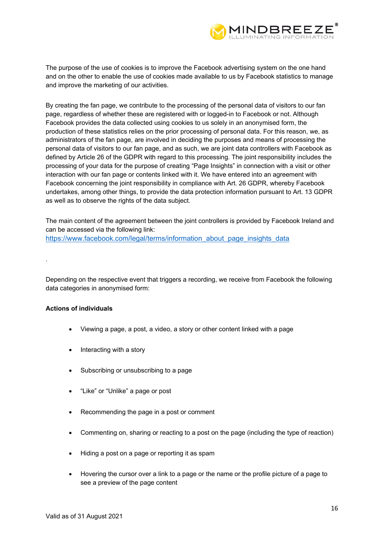

The purpose of the use of cookies is to improve the Facebook advertising system on the one hand and on the other to enable the use of cookies made available to us by Facebook statistics to manage and improve the marketing of our activities.

By creating the fan page, we contribute to the processing of the personal data of visitors to our fan page, regardless of whether these are registered with or logged-in to Facebook or not. Although Facebook provides the data collected using cookies to us solely in an anonymised form, the production of these statistics relies on the prior processing of personal data. For this reason, we, as administrators of the fan page, are involved in deciding the purposes and means of processing the personal data of visitors to our fan page, and as such, we are joint data controllers with Facebook as defined by Article 26 of the GDPR with regard to this processing. The joint responsibility includes the processing of your data for the purpose of creating "Page Insights" in connection with a visit or other interaction with our fan page or contents linked with it. We have entered into an agreement with Facebook concerning the joint responsibility in compliance with Art. 26 GDPR, whereby Facebook undertakes, among other things, to provide the data protection information pursuant to Art. 13 GDPR as well as to observe the rights of the data subject.

The main content of the agreement between the joint controllers is provided by Facebook Ireland and can be accessed via the following link: https://www.facebook.com/legal/terms/information\_about\_page\_insights\_data

Depending on the respective event that triggers a recording, we receive from Facebook the following data categories in anonymised form:

#### **Actions of individuals**

.

- Viewing a page, a post, a video, a story or other content linked with a page
- Interacting with a story
- Subscribing or unsubscribing to a page
- "Like" or "Unlike" a page or post
- Recommending the page in a post or comment
- Commenting on, sharing or reacting to a post on the page (including the type of reaction)
- Hiding a post on a page or reporting it as spam
- Hovering the cursor over a link to a page or the name or the profile picture of a page to see a preview of the page content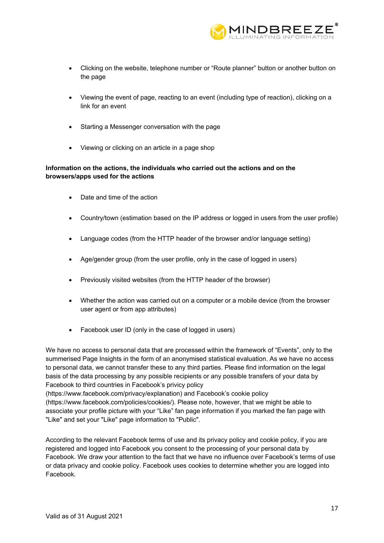

- Clicking on the website, telephone number or "Route planner" button or another button on the page
- Viewing the event of page, reacting to an event (including type of reaction), clicking on a link for an event
- Starting a Messenger conversation with the page
- Viewing or clicking on an article in a page shop

### **Information on the actions, the individuals who carried out the actions and on the browsers/apps used for the actions**

- Date and time of the action
- Country/town (estimation based on the IP address or logged in users from the user profile)
- Language codes (from the HTTP header of the browser and/or language setting)
- Age/gender group (from the user profile, only in the case of logged in users)
- Previously visited websites (from the HTTP header of the browser)
- Whether the action was carried out on a computer or a mobile device (from the browser user agent or from app attributes)
- Facebook user ID (only in the case of logged in users)

We have no access to personal data that are processed within the framework of "Events", only to the summerised Page Insights in the form of an anonymised statistical evaluation. As we have no access to personal data, we cannot transfer these to any third parties. Please find information on the legal basis of the data processing by any possible recipients or any possible transfers of your data by Facebook to third countries in Facebook's privicy policy

(https://www.facebook.com/privacy/explanation) and Facebook's cookie policy (https://www.facebook.com/policies/cookies/). Please note, however, that we might be able to associate your profile picture with your "Like" fan page information if you marked the fan page with "Like" and set your "Like" page information to "Public".

According to the relevant Facebook terms of use and its privacy policy and cookie policy, if you are registered and logged into Facebook you consent to the processing of your personal data by Facebook. We draw your attention to the fact that we have no influence over Facebook's terms of use or data privacy and cookie policy. Facebook uses cookies to determine whether you are logged into Facebook.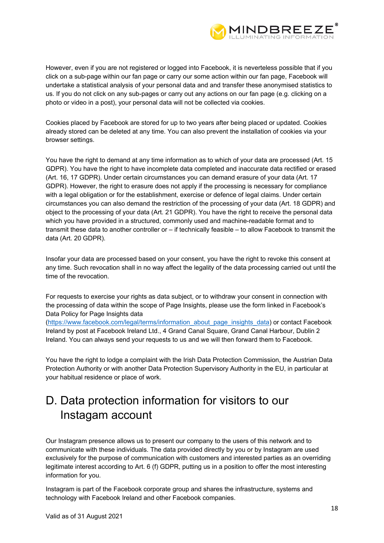

However, even if you are not registered or logged into Facebook, it is neverteless possible that if you click on a sub-page within our fan page or carry our some action within our fan page, Facebook will undertake a statistical analysis of your personal data and and transfer these anonymised statistics to us. If you do not click on any sub-pages or carry out any actions on our fan page (e.g. clicking on a photo or video in a post), your personal data will not be collected via cookies.

Cookies placed by Facebook are stored for up to two years after being placed or updated. Cookies already stored can be deleted at any time. You can also prevent the installation of cookies via your browser settings.

You have the right to demand at any time information as to which of your data are processed (Art. 15 GDPR). You have the right to have incomplete data completed and inaccurate data rectified or erased (Art. 16, 17 GDPR). Under certain circumstances you can demand erasure of your data (Art. 17 GDPR). However, the right to erasure does not apply if the processing is necessary for compliance with a legal obligation or for the establishment, exercise or defence of legal claims. Under certain circumstances you can also demand the restriction of the processing of your data (Art. 18 GDPR) and object to the processing of your data (Art. 21 GDPR). You have the right to receive the personal data which you have provided in a structured, commonly used and machine-readable format and to transmit these data to another controller or – if technically feasible – to allow Facebook to transmit the data (Art. 20 GDPR).

Insofar your data are processed based on your consent, you have the right to revoke this consent at any time. Such revocation shall in no way affect the legality of the data processing carried out until the time of the revocation.

For requests to exercise your rights as data subject, or to withdraw your consent in connection with the processing of data within the scope of Page Insights, please use the form linked in Facebook's Data Policy for Page Insights data

(https://www.facebook.com/legal/terms/information\_about\_page\_insights\_data) or contact Facebook Ireland by post at Facebook Ireland Ltd., 4 Grand Canal Square, Grand Canal Harbour, Dublin 2 Ireland. You can always send your requests to us and we will then forward them to Facebook.

You have the right to lodge a complaint with the Irish Data Protection Commission, the Austrian Data Protection Authority or with another Data Protection Supervisory Authority in the EU, in particular at your habitual residence or place of work.

# D. Data protection information for visitors to our Instagam account

Our Instagram presence allows us to present our company to the users of this network and to communicate with these individuals. The data provided directly by you or by Instagram are used exclusively for the purpose of communication with customers and interested parties as an overriding legitimate interest according to Art. 6 (f) GDPR, putting us in a position to offer the most interesting information for you.

Instagram is part of the Facebook corporate group and shares the infrastructure, systems and technology with Facebook Ireland and other Facebook companies.